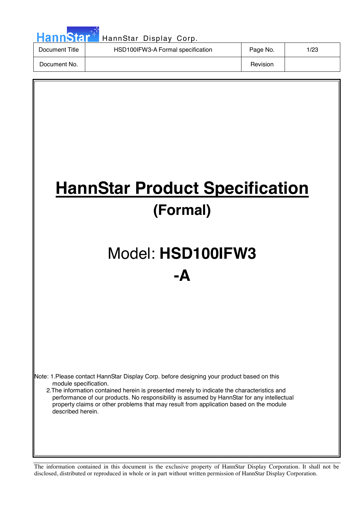| HannStar <sup>*</sup> | HannStar Display Corp.            |          |      |
|-----------------------|-----------------------------------|----------|------|
| Document Title        | HSD100IFW3-A Formal specification | Page No. | 1/23 |
| Document No.          |                                   | Revision |      |

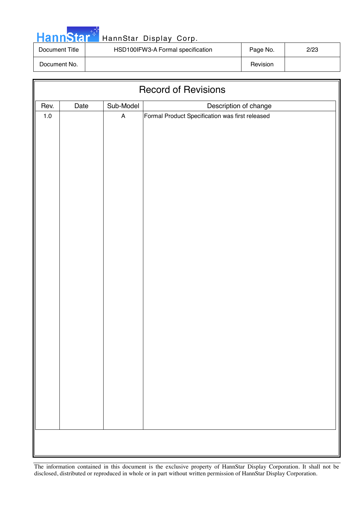|  | <b>HannStar</b> |  |
|--|-----------------|--|
|  |                 |  |

| Document Title | HSD100IFW3-A Formal specification | Page No. | 2/23 |
|----------------|-----------------------------------|----------|------|
| Document No.   |                                   | Revision |      |

| <b>Record of Revisions</b> |      |                           |                                                 |  |  |
|----------------------------|------|---------------------------|-------------------------------------------------|--|--|
| Rev.                       | Date | Sub-Model                 | Description of change                           |  |  |
| $1.0\,$                    |      | $\boldsymbol{\mathsf{A}}$ | Formal Product Specification was first released |  |  |
|                            |      |                           |                                                 |  |  |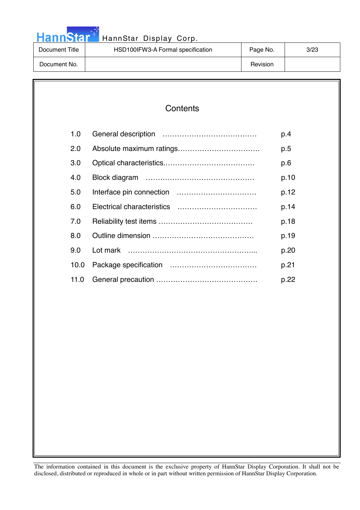|  |  | <b>HannStar</b> |  |
|--|--|-----------------|--|
|  |  |                 |  |
|  |  |                 |  |

| Document Title | HSD100IFW3-A Formal specification | Page No. | 3/23 |
|----------------|-----------------------------------|----------|------|
| Document No.   |                                   | Revision |      |

| Contents |
|----------|
|----------|

| 1.0  | p.4  |
|------|------|
| 2.0  | p.5  |
| 3.0  | p.6  |
| 4.0  | p.10 |
| 5.0  | p.12 |
| 6.0  | p.14 |
| 7.0  | p.18 |
| 8.0  | p.19 |
| 9.0  | p.20 |
| 10.0 | p.21 |
| 11.0 | p.22 |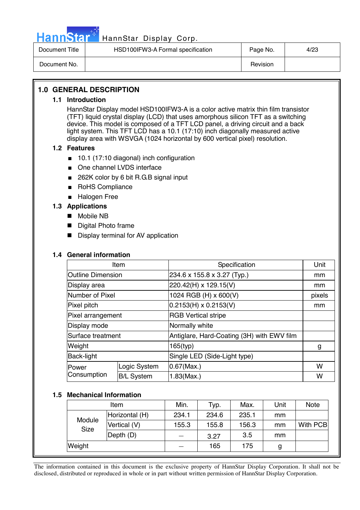

# Hann Star<sup>47</sup> HannStar Display Corp.

| Document Title | HSD100IFW3-A Formal specification | Page No. | 4/23 |
|----------------|-----------------------------------|----------|------|
| Document No.   |                                   | Revision |      |

# **1.0 GENERAL DESCRIPTION**

#### **1.1 Introduction**

HannStar Display model HSD100IFW3-A is a color active matrix thin film transistor (TFT) liquid crystal display (LCD) that uses amorphous silicon TFT as a switching device. This model is composed of a TFT LCD panel, a driving circuit and a back light system. This TFT LCD has a 10.1 (17:10) inch diagonally measured active display area with WSVGA (1024 horizontal by 600 vertical pixel) resolution.

#### **1.2 Features**

- 10.1 (17:10 diagonal) inch configuration
- One channel LVDS interface
- 262K color by 6 bit R.G.B signal input
- RoHS Compliance
- Halogen Free

### **1.3 Applications**

- Mobile NB
- **Digital Photo frame**
- **Display terminal for AV application**

#### **1.4 General information**

| Item                     |                   | Specification                              | Unit   |
|--------------------------|-------------------|--------------------------------------------|--------|
| <b>Outline Dimension</b> |                   | 234.6 x 155.8 x 3.27 (Typ.)                | mm     |
| Display area             |                   | 220.42(H) x 129.15(V)                      | mm     |
| Number of Pixel          |                   | 1024 RGB (H) x 600(V)                      | pixels |
| Pixel pitch              |                   | $0.2153(H) \times 0.2153(V)$               | mm     |
| Pixel arrangement        |                   | <b>RGB Vertical stripe</b>                 |        |
| Display mode             |                   | Normally white                             |        |
| Surface treatment        |                   | Antiglare, Hard-Coating (3H) with EWV film |        |
| Weight                   |                   | 165(typ)                                   | g      |
| Back-light               |                   | Single LED (Side-Light type)               |        |
| Power                    | Logic System      | $0.67$ (Max.)                              | w      |
| Consumption              | <b>B/L System</b> | 1.83(Max.)                                 | W      |

#### **1.5 Mechanical Information**

| Item                  |                | Min.  | Typ.  | Max.  | Unit | <b>Note</b> |
|-----------------------|----------------|-------|-------|-------|------|-------------|
|                       | Horizontal (H) | 234.1 | 234.6 | 235.1 | mm   |             |
| Module<br><b>Size</b> | Vertical (V)   | 155.3 | 155.8 | 156.3 | mm   | With PCB    |
|                       | Depth (D)      |       | 3.27  | 3.5   | mm   |             |
| Weight                |                |       | 165   | 175   | g    |             |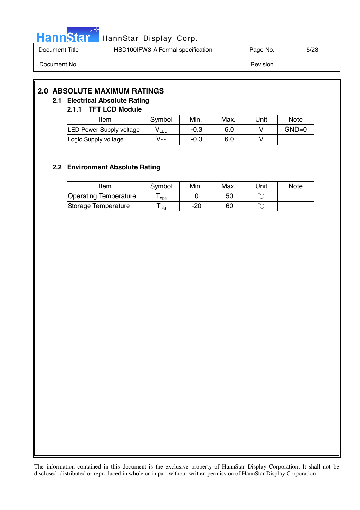

| Document Title | HSD100IFW3-A Formal specification | Page No. | 5/23 |
|----------------|-----------------------------------|----------|------|
| Document No.   |                                   | Revision |      |

# **2.0 ABSOLUTE MAXIMUM RATINGS**

# **2.1 Electrical Absolute Rating**

# **2.1.1 TFT LCD Module**

| Item                            | Symbol | Min.   | Max. | Unit | <b>Note</b> |
|---------------------------------|--------|--------|------|------|-------------|
| <b>LED Power Supply voltage</b> | VLED   | $-0.3$ | 6.0  |      | $GND=0$     |
| Logic Supply voltage            | V DD   | $-0.3$ | 6.0  |      |             |

# **2.2 Environment Absolute Rating**

| Item                  | Symbol | Min. | Max. | Unit   | <b>Note</b> |
|-----------------------|--------|------|------|--------|-------------|
| Operating Temperature | opa    |      | 50   |        |             |
| Storage Temperature   | l stg  | -20  | 60   | $\sim$ |             |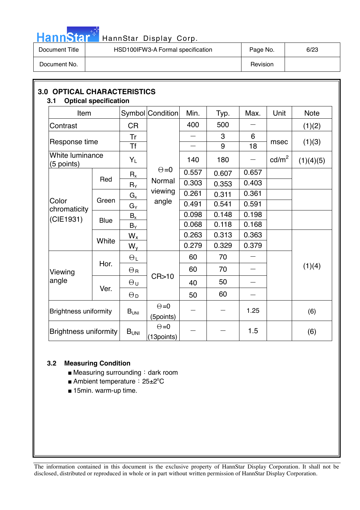

# HannStar<sup>t HannStar Display Corp.</sup>

| Document Title | HSD100IFW3-A Formal specification | Page No. | 6/23 |
|----------------|-----------------------------------|----------|------|
| Document No.   |                                   | Revision |      |

| Item                          |                      |                       | Symbol Condition           | Min.   | Typ.   | Max.                     | Unit            | <b>Note</b> |    |    |  |  |  |
|-------------------------------|----------------------|-----------------------|----------------------------|--------|--------|--------------------------|-----------------|-------------|----|----|--|--|--|
| Contrast                      |                      | <b>CR</b>             |                            | 400    | 500    |                          |                 | (1)(2)      |    |    |  |  |  |
| Response time                 |                      | Tr<br><b>Tf</b>       |                            |        | 3<br>9 | 6<br>18                  | msec            | (1)(3)      |    |    |  |  |  |
| White luminance<br>(5 points) |                      | $Y_L$                 |                            | 140    | 180    |                          | $\text{cd/m}^2$ | (1)(4)(5)   |    |    |  |  |  |
|                               |                      | $R_{x}$               | $\Theta = 0$               | 0.557  | 0.607  | 0.657                    |                 |             |    |    |  |  |  |
| Color<br>chromaticity         |                      | Red                   | $R_Y$                      | Normal | 0.303  | 0.353                    | 0.403           |             |    |    |  |  |  |
|                               |                      | $G_{x}$               | viewing                    | 0.261  | 0.311  | 0.361                    |                 |             |    |    |  |  |  |
|                               | Green                | $G_Y$                 | angle                      | 0.491  | 0.541  | 0.591                    |                 |             |    |    |  |  |  |
| (CIE1931)                     | <b>Blue</b><br>White | $B_x$                 |                            | 0.098  | 0.148  | 0.198                    |                 |             |    |    |  |  |  |
|                               |                      | $B_Y$                 |                            | 0.068  | 0.118  | 0.168                    |                 |             |    |    |  |  |  |
|                               |                      | $W_{x}$               |                            | 0.263  | 0.313  | 0.363                    |                 |             |    |    |  |  |  |
|                               |                      | $W_{V}$               |                            | 0.279  | 0.329  | 0.379                    |                 |             |    |    |  |  |  |
|                               |                      | $\Theta_L$            |                            | 60     | 70     |                          |                 |             |    |    |  |  |  |
| Viewing                       | Hor.                 | $\Theta_{\mathsf{R}}$ | CR>10                      | 60     | 70     |                          |                 | (1)(4)      |    |    |  |  |  |
| angle                         |                      |                       | Ver.                       |        |        |                          | $\Theta$ u      |             | 40 | 50 |  |  |  |
|                               |                      | $\Theta_{\mathsf{D}}$ |                            | 50     | 60     | $\overline{\phantom{0}}$ |                 |             |    |    |  |  |  |
| <b>Brightness uniformity</b>  |                      | $B_{UNI}$             | $\Theta = 0$<br>(5points)  |        |        | 1.25                     |                 | (6)         |    |    |  |  |  |
| <b>Brightness uniformity</b>  |                      | $B_{UNI}$             | $\Theta = 0$<br>(13points) |        |        | 1.5                      |                 | (6)         |    |    |  |  |  |

# **3.2 Measuring Condition**

- Measuring surrounding: dark room
- Ambient temperature: 25±2°C
- 15min. warm-up time.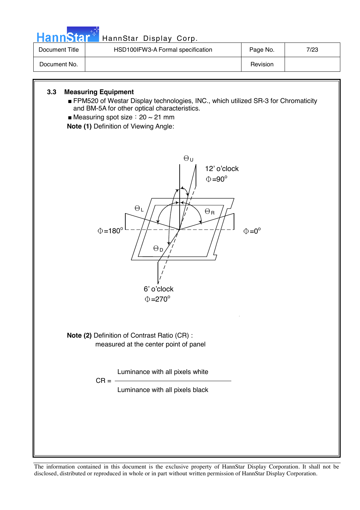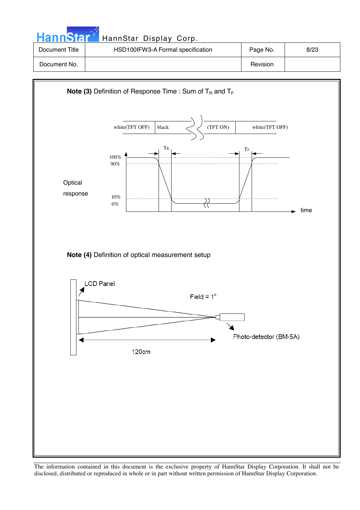| HannStar <sup>*</sup> | HannStar Display Corp.            |          |      |
|-----------------------|-----------------------------------|----------|------|
| Document Title        | HSD100IFW3-A Formal specification | Page No. | 8/23 |
| Document No.          |                                   | Revision |      |

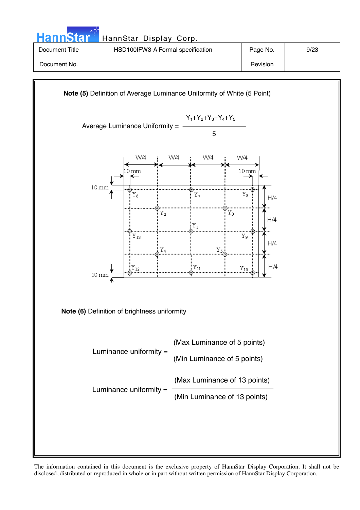



**Note (6)** Definition of brightness uniformity

Luminance uniformity  $=$ Luminance uniformity  $=$ (Max Luminance of 5 points) (Min Luminance of 5 points) (Max Luminance of 13 points) (Min Luminance of 13 points)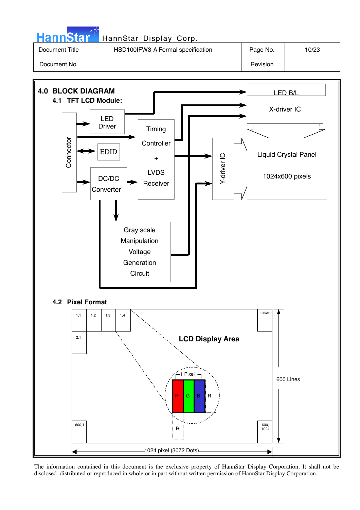| <b>HannStar</b> | HannStar Display Corp.            |          |       |
|-----------------|-----------------------------------|----------|-------|
| Document Title  | HSD100IFW3-A Formal specification | Page No. | 10/23 |
| Document No.    |                                   | Revision |       |

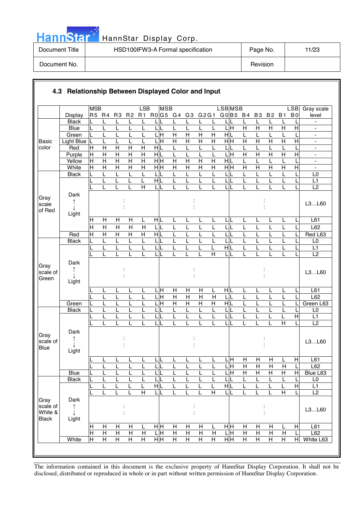|  | ann | Ы |  |
|--|-----|---|--|
|  |     |   |  |

| Document Title | HSD100IFW3-A Formal specification | Page No. | 11/23 |
|----------------|-----------------------------------|----------|-------|
| Document No.   |                                   | Revision |       |

|                                             |                                        | <b>MSB</b>                       |                                           |                                  |                                  | LSB                              | <b>MSB</b>                     |                         |                           |                                           |                         | <b>LSBMSB</b>                                  |                              |                              |                           |                              | <b>LSB</b>                | Gray scale                                 |
|---------------------------------------------|----------------------------------------|----------------------------------|-------------------------------------------|----------------------------------|----------------------------------|----------------------------------|--------------------------------|-------------------------|---------------------------|-------------------------------------------|-------------------------|------------------------------------------------|------------------------------|------------------------------|---------------------------|------------------------------|---------------------------|--------------------------------------------|
|                                             | <b>Display</b>                         |                                  | R5 R4                                     | R <sub>3</sub>                   | R <sub>2</sub>                   | R1                               | R0G5 G4 G3 G2G1                |                         |                           |                                           |                         | GO B5 B4 B3                                    |                              |                              | B <sub>2</sub>            | <b>B1</b>                    | B <sub>0</sub>            | level                                      |
|                                             | <b>Black</b>                           |                                  |                                           | L                                | L                                |                                  |                                | L                       | L                         | L                                         | L                       |                                                |                              |                              | L                         |                              |                           |                                            |
|                                             | <b>Blue</b>                            | L                                | L                                         | L                                |                                  |                                  | L                              | L                       | L                         | L                                         | L                       | 듴                                              | $\overline{H}$               | $\mathsf{H}$                 | $\overline{H}$            | $\overline{H}$               | $\overline{H}$            | $\qquad \qquad \blacksquare$               |
|                                             | Green                                  | L                                |                                           | L                                |                                  | L                                | L H                            | $\overline{H}$          | $\overline{H}$            | $\overline{\mathsf{H}}$                   | Η                       | H L                                            | L                            | L                            | L                         |                              |                           | $\overline{\phantom{a}}$                   |
| <b>Basic</b>                                | <b>Light Blue</b>                      |                                  |                                           | L                                | L                                |                                  | $\overline{\mathbf{H}}$        | $\overline{H}$          | $\overline{H}$            | $\overline{H}$                            | $\overline{\mathsf{H}}$ | H H                                            | $\overline{H}$               | $\overline{H}$               | $\overline{H}$            | $\overline{H}$               | $\overline{H}$            | ä,                                         |
| color                                       | Red                                    | $\overline{H}$                   | $\mathsf{H}$                              | $\overline{H}$                   | $\overline{H}$                   | $\overline{H}$                   | HĮL                            | L                       | L                         | L                                         | L                       | L                                              | L                            | L                            | L                         |                              |                           | $\overline{\phantom{a}}$                   |
|                                             | Purple                                 | $\overline{H}$                   | $\overline{H}$<br>$\overline{\mathsf{H}}$ | $\overline{H}$<br>$\overline{H}$ | $\overline{H}$<br>$\overline{H}$ | $\overline{H}$<br>$\overline{H}$ | НĿ                             | L<br>$\overline{H}$     | L<br>$\overline{H}$       | L                                         | L<br>$\overline{H}$     | Ε<br>L<br>H L                                  | $\overline{H}$               | $\overline{H}$               | $\mathsf{H}$              | $\overline{H}$               | $\mathsf{H}$              | $\blacksquare$                             |
|                                             | Yellow<br>White                        | $\overline{H}$<br>$\overline{H}$ | $\overline{\mathsf{H}}$                   | $\overline{H}$                   | $\overline{\mathsf{H}}$          | $\overline{H}$                   | $\frac{1}{2}$<br>$\frac{1}{2}$ | $\overline{\mathsf{H}}$ | $\overline{\mathsf{H}}$   | $\overline{H}$<br>$\overline{\mathsf{H}}$ | Η                       | H H                                            | L<br>$\overline{\mathsf{H}}$ | L<br>$\overline{\mathsf{H}}$ | L<br>$\overline{H}$       | L<br>$\overline{\mathsf{H}}$ | $\overline{H}$            | $\overline{\phantom{a}}$<br>$\blacksquare$ |
|                                             | <b>Black</b>                           |                                  | L                                         | L                                |                                  | L                                | LIL                            | L                       | L                         | L                                         | L                       | L                                              |                              |                              | L                         |                              |                           | L <sub>0</sub>                             |
|                                             |                                        |                                  | L                                         | L                                | L                                | L                                | $\overline{H}$                 | L                       | L                         | L                                         | L                       | L                                              | L                            | L                            | L                         | L                            |                           | L1                                         |
|                                             |                                        |                                  | L                                         | L                                | L                                | H                                | LL                             | L                       | L                         | L                                         | L                       | LIL                                            | L                            | L                            | L                         | L                            |                           | L2                                         |
| Gray                                        | Dark<br>↑                              |                                  |                                           |                                  |                                  |                                  |                                |                         |                           |                                           |                         |                                                |                              |                              |                           |                              |                           |                                            |
| scale<br>of Red                             | Light                                  |                                  |                                           |                                  |                                  |                                  |                                |                         |                           |                                           |                         |                                                |                              |                              |                           |                              |                           | L3L60                                      |
|                                             |                                        | H                                | Н                                         | Н                                | Н                                | L                                | HIL                            | L                       | L                         | L                                         | L                       | LIL                                            | L                            | L                            | L                         | L                            |                           | L61                                        |
|                                             |                                        | $\overline{H}$                   | $\overline{\mathsf{H}}$                   | $\overline{H}$                   | $\overline{\mathsf{H}}$          | $\overline{H}$                   | LL                             | L                       | L                         | L                                         | L                       | L<br>L                                         | L                            | L                            | L                         | L                            |                           | L62                                        |
|                                             | Red                                    | H                                | Н                                         | $\overline{H}$                   | $\overline{H}$                   | Н                                | HIL                            | L                       | L                         | L                                         | L                       | L                                              |                              |                              | L                         |                              |                           | Red L63                                    |
|                                             | <b>Black</b>                           | L                                | L                                         | L                                | L                                | L                                | LIL                            | L                       | L                         | L                                         | L                       | $\mathsf{L}% _{0}\left( \mathsf{L}_{1}\right)$ |                              | L                            | $\mathsf{L}$              | L                            |                           | L <sub>0</sub>                             |
|                                             |                                        |                                  |                                           | L                                |                                  |                                  | LIL                            | L                       |                           |                                           | L                       | $\overline{\mathbf{H}}$                        |                              |                              | L                         | L                            |                           | L1                                         |
|                                             |                                        |                                  |                                           | L                                |                                  |                                  | LIL                            | L                       |                           |                                           | $\overline{H}$          | $\mathsf{L}$                                   |                              |                              | L                         | L                            |                           | $\overline{L2}$                            |
| Gray<br>scale of<br>Green                   | Dark<br>↑<br>Light                     |                                  |                                           |                                  |                                  |                                  |                                |                         |                           |                                           |                         |                                                |                              |                              |                           |                              |                           | L3L60                                      |
|                                             |                                        |                                  | L                                         | L                                |                                  | L                                | LН                             | $\mathsf{H}$            | $\boldsymbol{\mathsf{H}}$ | $\mathsf{H}$                              | L                       | HIL                                            | L                            | L                            | L                         | L                            |                           | L61                                        |
|                                             |                                        |                                  |                                           | L                                |                                  | L                                | İΗ                             | $\overline{H}$          | $\overline{H}$            | $\mathsf{H}$                              | $\overline{H}$          | Г                                              | L                            | L                            | L                         |                              |                           | L62                                        |
|                                             | Green                                  |                                  | L                                         | L                                |                                  | L                                | Г<br>Н                         | $\overline{H}$          | $\overline{H}$            | $\overline{H}$                            | Η                       | HL                                             |                              | L                            | L                         |                              |                           | Green L63                                  |
|                                             | <b>Black</b>                           |                                  | L                                         | L                                |                                  | L                                | LL                             | L                       | L                         | L                                         | L                       | $\mathsf{L}$                                   |                              |                              | L                         | L                            |                           | L <sub>0</sub>                             |
|                                             |                                        |                                  | L                                         | L                                |                                  | L                                | L                              | L                       | L                         | L                                         | L                       | $\overline{L}$<br>L                            |                              | L                            | L                         | L                            | $\overline{H}$            | L1                                         |
|                                             |                                        |                                  |                                           |                                  |                                  |                                  | L                              |                         |                           |                                           | L                       | L                                              |                              |                              |                           | $\overline{\mathsf{H}}$      |                           | L2                                         |
| Gray<br>scale of<br><b>Blue</b>             | Dark                                   |                                  |                                           |                                  |                                  |                                  |                                |                         |                           |                                           |                         |                                                |                              |                              |                           |                              |                           | L3L60                                      |
|                                             | Light                                  |                                  |                                           |                                  |                                  |                                  |                                |                         |                           |                                           |                         |                                                |                              |                              |                           |                              |                           |                                            |
|                                             |                                        | ∟                                | L                                         | L                                | L                                | L                                | τL                             | L                       | L                         | ц                                         | L                       | LH                                             | $\overline{H}$               | $\mathsf{H}$                 | $\overline{H}$            | L                            | $\overline{H}$            | L61                                        |
|                                             |                                        |                                  | L                                         | L                                | L                                | L                                | L L                            | L                       | L                         | L                                         | L                       | 듴                                              | $\mathsf{H}$                 | $\mathsf{H}$                 | H                         | $\overline{H}$               | L                         | L62                                        |
|                                             | Blue                                   | L                                | L                                         | L                                | L                                | L                                | LL                             | L                       | L                         | L                                         | L                       | LH                                             | $\overline{H}$               | $\boldsymbol{\mathsf{H}}$    | Н                         | Н                            | $\mathsf{H}$              | Blue L63                                   |
|                                             | <b>Black</b>                           | L                                | L                                         | L                                | L                                | L                                | LIL                            | L                       | L                         | L                                         | L                       | L                                              | L                            | L                            | L                         | L                            |                           | L0                                         |
|                                             |                                        |                                  | L                                         | L                                | L                                | L                                | H L                            | L                       |                           | L                                         | L<br>$\overline{H}$     | H L                                            | L                            | L                            | L                         | L                            | $\overline{H}$            | L1                                         |
|                                             |                                        |                                  | L                                         | L                                | L                                | $\overline{\mathsf{H}}$          | L L                            | L                       |                           | L                                         |                         | LL                                             | L                            | L                            | L                         | $\overline{\mathsf{H}}$      |                           | $\overline{L2}$                            |
| Gray<br>scale of<br>White &<br><b>Black</b> | Dark<br>$\uparrow$<br>$\perp$<br>Light |                                  |                                           |                                  |                                  |                                  |                                |                         |                           |                                           |                         |                                                |                              |                              |                           |                              |                           | L3L60                                      |
|                                             |                                        | $\mathsf H$                      | Н                                         | Н                                | Н                                | L                                | нH                             | Н                       | H                         | Н                                         | L                       | HH                                             | Н                            | Н                            | $\boldsymbol{\mathsf{H}}$ | L                            | $\boldsymbol{\mathsf{H}}$ | L61                                        |
|                                             |                                        | $\overline{H}$                   | $\overline{H}$                            | $\overline{H}$                   | $\overline{H}$                   | H                                | L H                            | $\overline{H}$          | $\overline{H}$            | $\overline{H}$                            | $\mathsf{H}$            | ГH                                             | $\overline{H}$               | $\overline{H}$               | $\overline{H}$            | $\mathsf{H}$                 | L                         | L62                                        |
|                                             | White                                  | $\overline{\mathsf{H}}$          | $\overline{H}$                            | $\overline{H}$                   | $\overline{\mathsf{H}}$          | $\overline{\mathsf{H}}$          | $\overline{H}$ H               | $\overline{\mathsf{H}}$ | $\overline{H}$            | Η                                         | $\overline{\mathsf{H}}$ | H H                                            | $\overline{H}$               | $\overline{H}$               | $\overline{H}$            | $\overline{H}$               | $\overline{H}$            | White L63                                  |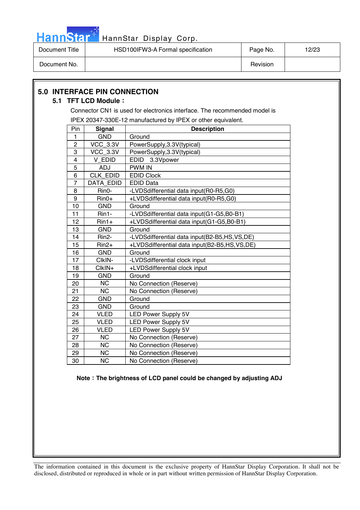

Document Title | HSD100IFW3-A Formal specification | Page No. | 12/23 Document No. Newsletter and the contract of the contract of the contract of the contract of the contract of the contract of the contract of the contract of the contract of the contract of the contract of the contract of th

#### **5.0 INTERFACE PIN CONNECTION 5.1 TFT LCD Module:** Connector CN1 is used for electronics interface. The recommended model is IPEX 20347-330E-12 manufactured by IPEX or other equivalent. Pin Signal **Constant Signal Constant Pin** 1 GND Ground 2 | VCC\_3.3V | PowerSupply, 3.3V(typical) 3 VCC\_3.3V PowerSupply,3.3V(typical) 4 V\_EDID EDID 3.3Vpower 5 ADJ PWM IN 6 CLK\_EDID EDID Clock 7 | DATA EDID | EDID Data 8 | Rin0- | -LVDSdifferential data input(R0-R5,G0) 9 | Rin0+ | +LVDSdifferential data input(R0-R5,G0) 10 | GND | Ground 11 | Rin1- | -LVDSdifferential data input(G1-G5,B0-B1) 12 | Rin1+ | +LVDSdifferential data input(G1-G5,B0-B1) 13 GND Ground 14 | Rin2- | -LVDSdifferential data input(B2-B5,HS,VS,DE) 15 | Rin2+ | +LVDSdifferential data input(B2-B5,HS,VS,DE) 16 GND Ground 17 | ClkIN- | -LVDSdifferential clock input 18 ClkIN+ +LVDSdifferential clock input 19 GND Ground 20 NC No Connection (Reserve) 21 NC No Connection (Reserve) 22 | GND | Ground 23 GND Ground 24 | VLED | LED Power Supply 5V 25 | VLED | LED Power Supply 5V 26 VLED LED Power Supply 5V 27 NC No Connection (Reserve) 28 | NC | No Connection (Reserve) 29 | NC | No Connection (Reserve) 30 NC No Connection (Reserve)

#### **Note : The brightness of LCD panel could be changed by adjusting ADJ**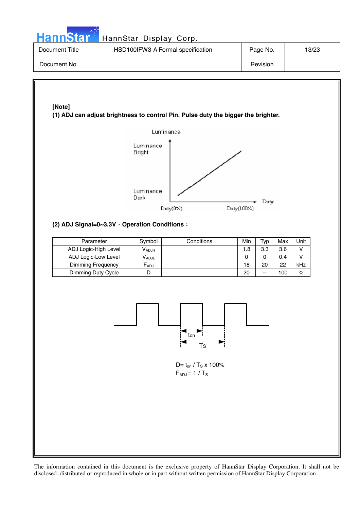| <b>HannStal</b> |  |
|-----------------|--|

| Document Title | HSD100IFW3-A Formal specification | Page No. | 13/23 |
|----------------|-----------------------------------|----------|-------|
| Document No.   |                                   | Revision |       |

# **[Note]**

**(1) ADJ can adjust brightness to control Pin. Pulse duty the bigger the brighter.** 



# **(2) ADJ Signal=0~3.3V**, Operation Conditions:

| Parameter            | Symbol                       | Conditions | Min | тур   | Max | Unit |
|----------------------|------------------------------|------------|-----|-------|-----|------|
| ADJ Logic-High Level | <b>V</b> ADJH                |            | 1.8 | 3.3   | 3.6 |      |
| ADJ Logic-Low Level  | $\mathsf{V}_{\mathsf{ADJL}}$ |            | 0   |       | 0.4 |      |
| Dimming Frequency    | ⊢ <sub>ADJ</sub>             |            | 18  | 20    | 22  | kHz  |
| Dimming Duty Cycle   |                              |            | 20  | $- -$ | 100 | $\%$ |



 $D = t_{on} / T_s$  x 100%  $F_{ADJ} = 1 / T_S$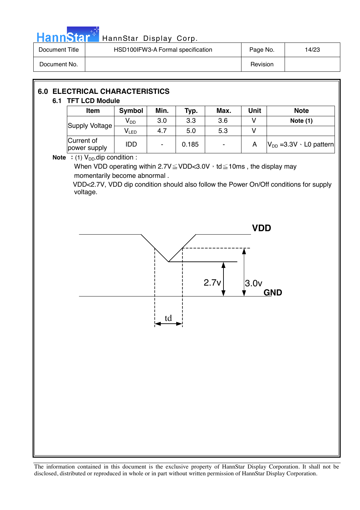

# HannStar<sup>t HannStar</sup> Display Corp.

| Document Title | HSD100IFW3-A Formal specification | Page No. | 14/23 |
|----------------|-----------------------------------|----------|-------|
| Document No.   |                                   | Revision |       |

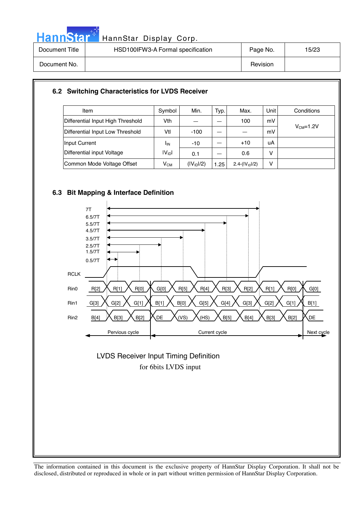

# HannStar<sup>t HannStar Display Corp.</sup>

| Document Title | HSD100IFW3-A Formal specification | Page No. | 15/23 |
|----------------|-----------------------------------|----------|-------|
| Document No.   |                                   | Revision |       |

# **6.2 Switching Characteristics for LVDS Receiver**

| Item                              | Symbol             | Min.                   | Typ. | Max.               | Unit <sup>1</sup> | Conditions |
|-----------------------------------|--------------------|------------------------|------|--------------------|-------------------|------------|
| Differential Input High Threshold | Vth                |                        |      | 100                | mV                |            |
| Differential Input Low Threshold  | Vtl                | $-100$                 |      |                    | mV                | $VCM=1.2V$ |
| Input Current                     | <b>I</b> IN        | $-10$                  |      | $+10$              | uA                |            |
| Differential input Voltage        | IV <sub>ID</sub> I | 0.1                    |      | 0.6                | v                 |            |
| Common Mode Voltage Offset        | $V_{CM}$           | (IV <sub>1D</sub> 1/2) | 1.25 | $2.4-( V_{1D} /2)$ | v                 |            |

# **6.3 Bit Mapping & Interface Definition**



# for 6bits LVDS input LVDS Receiver Input Timing Definition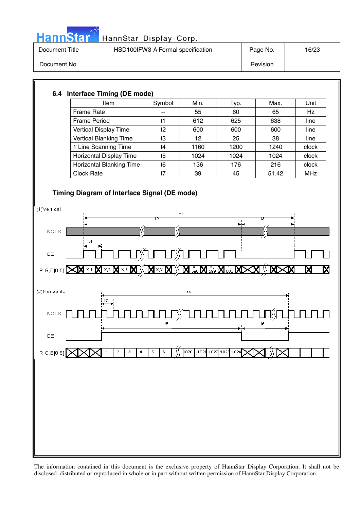

| Document Title | HSD100IFW3-A Formal specification | Page No. | 16/23 |
|----------------|-----------------------------------|----------|-------|
| Document No.   |                                   | Revision |       |

# **6.4 Interface Timing (DE mode)**

| Item                            | Symbol | Min. | Typ. | Max.  | Unit       |
|---------------------------------|--------|------|------|-------|------------|
| Frame Rate                      | $- -$  | 55   | 60   | 65    | Hz         |
| <b>Frame Period</b>             | t1     | 612  | 625  | 638   | line       |
| Vertical Display Time           | t2     | 600  | 600  | 600   | line       |
| Vertical Blanking Time          | tЗ     | 12   | 25   | 38    | line       |
| 1 Line Scanning Time            | t4     | 1160 | 1200 | 1240  | clock      |
| Horizontal Display Time         | t5     | 1024 | 1024 | 1024  | clock      |
| <b>Horizontal Blanking Time</b> | t6     | 136  | 176  | 216   | clock      |
| <b>Clock Rate</b>               | t7     | 39   | 45   | 51.42 | <b>MHz</b> |

# **Timing Diagram of Interface Signal (DE mode)**

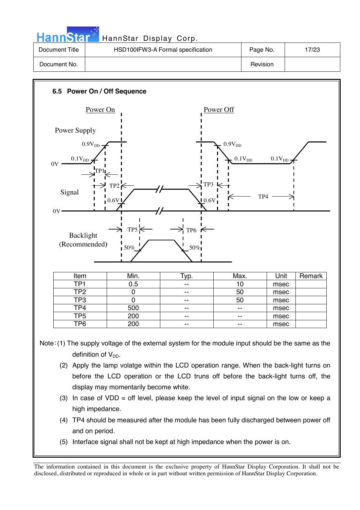|                | HannStar <sup>+</sup> HannStar Display Corp. |          |       |
|----------------|----------------------------------------------|----------|-------|
| Document Title | HSD100IFW3-A Formal specification            | Page No. | 17/23 |
| Document No.   |                                              | Revision |       |



Note: (1) The supply voltage of the external system for the module input should be the same as the definition of  $V_{DD}$ .

- (2) Apply the lamp volatge within the LCD operation range. When the back-light turns on before the LCD operation or the LCD truns off before the back-light turns off, the display may momentarily become white.
- (3) In case of VDD = off level, please keep the level of input signal on the low or keep a high impedance.
- (4) TP4 should be measured after the module has been fully discharged between power off and on period.
- (5) Interface signal shall not be kept at high impedance when the power is on.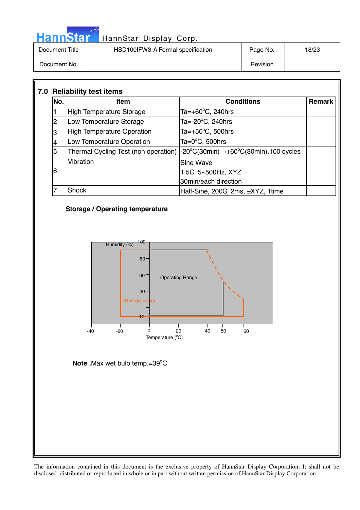| <b>HannStar</b> * | HannStar Display Corp.            |          |       |
|-------------------|-----------------------------------|----------|-------|
| Document Title    | HSD100IFW3-A Formal specification | Page No. | 18/23 |
| Document No.      |                                   | Revision |       |

| No. | <b>Item</b>                       | <b>Conditions</b>                                                                                                     | <b>Remark</b> |
|-----|-----------------------------------|-----------------------------------------------------------------------------------------------------------------------|---------------|
|     | High Temperature Storage          | Ta=+60 $\degree$ C, 240hrs                                                                                            |               |
| 2   | Low Temperature Storage           | Ta= $-20^{\circ}$ C, 240hrs                                                                                           |               |
| 3   | <b>High Temperature Operation</b> | Ta=+50 $^{\circ}$ C, 500hrs                                                                                           |               |
|     | Low Temperature Operation         | Ta= $0^{\circ}$ C, 500hrs                                                                                             |               |
| 5   |                                   | Thermal Cycling Test (non operation) $ -20^{\circ}C(30\text{min}) \rightarrow +60^{\circ}C(30\text{min})$ ,100 cycles |               |
|     | Vibration                         | <b>Sine Wave</b>                                                                                                      |               |
| 6   |                                   | 1.5G, 5~500Hz, XYZ                                                                                                    |               |
|     |                                   | 30min/each direction                                                                                                  |               |
|     | Shock                             | Half-Sine, 200G, 2ms, ±XYZ, 1time                                                                                     |               |



Temperature (°C)

**Note . Max wet bulb temp.=39°C** 

ال<br>مارس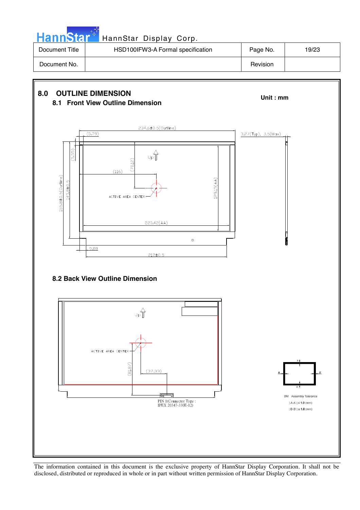

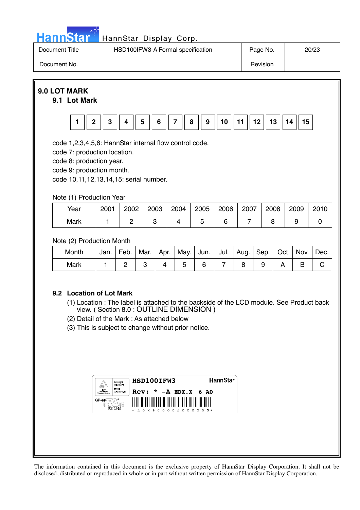

# HannStar<sup>17</sup> HannStar Display Corp.

| Document Title | HSD100IFW3-A Formal specification | Page No. | 20/23 |
|----------------|-----------------------------------|----------|-------|
| Document No.   |                                   | Revision |       |

# **9.0 LOT MARK**

### **9.1 Lot Mark**



code 1,2,3,4,5,6: HannStar internal flow control code.

code 7: production location.

code 8: production year.

code 9: production month.

code 10,11,12,13,14,15: serial number.

# Note (1) Production Year

| Year | 2001 | 2002 | 2003 | 2004 | 2005 | 2006 | 2007 | 2008 | 2009 | 2010 |
|------|------|------|------|------|------|------|------|------|------|------|
| Mark |      |      |      |      | ◡    |      |      |      |      |      |

# Note (2) Production Month

| Month | Jan. | Feb. |  | Mar.   Apr.   May.   Jun.   Jul.   Aug.   Sep.   Oct. |  |  | Nov. | Dec. |
|-------|------|------|--|-------------------------------------------------------|--|--|------|------|
| Mark  |      |      |  |                                                       |  |  |      |      |

# **9.2 Location of Lot Mark**

- (1) Location : The label is attached to the backside of the LCD module. See Product back view. ( Section 8.0 : OUTLINE DIMENSION )
- (2) Detail of the Mark : As attached below
- (3) This is subject to change without prior notice.

|                          | <b><i>DALMARY</i></b><br><b>GREATED FT</b> | HSD100IFW3                                                         | <b>HannStar</b> |
|--------------------------|--------------------------------------------|--------------------------------------------------------------------|-----------------|
| <b>Pendance Berkeler</b> | <b>TYPE</b><br><b>APPROVING</b>            | Rev: $*$ -A EDX.X 6 AO                                             |                 |
| GP-HF<br>G               | E212246                                    | ║<br>║<br>║<br>I<br>I<br>║<br>$0 K9 C000 A000003*$<br>$\mathbf{x}$ |                 |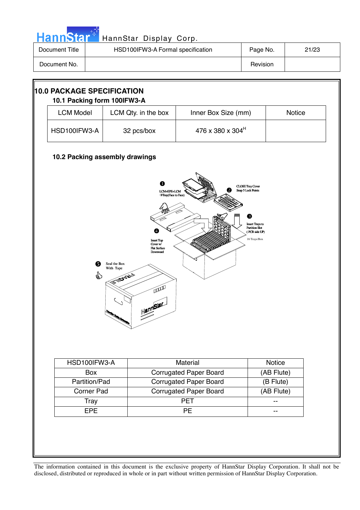| HannStar <sup>2</sup> | HannStar Display Corp.            |          |       |
|-----------------------|-----------------------------------|----------|-------|
| Document Title        | HSD100IFW3-A Formal specification | Page No. | 21/23 |
| Document No.          |                                   | Revision |       |

m.

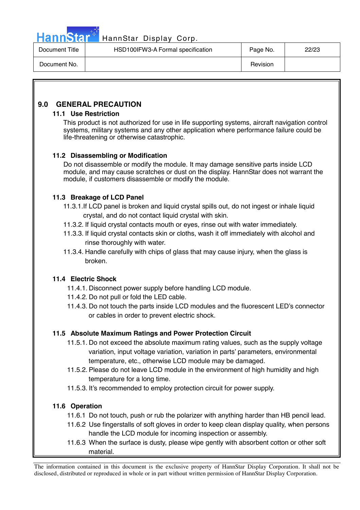

# Hann Star<sup>47</sup> HannStar Display Corp.

| Document Title | HSD100IFW3-A Formal specification | Page No. | 22/23 |
|----------------|-----------------------------------|----------|-------|
| Document No.   |                                   | Revision |       |

# **9.0 GENERAL PRECAUTION**

### **11.1 Use Restriction**

This product is not authorized for use in life supporting systems, aircraft navigation control systems, military systems and any other application where performance failure could be life-threatening or otherwise catastrophic.

# **11.2 Disassembling or Modification**

 Do not disassemble or modify the module. It may damage sensitive parts inside LCD module, and may cause scratches or dust on the display. HannStar does not warrant the module, if customers disassemble or modify the module.

# **11.3 Breakage of LCD Panel**

- 11.3.1.If LCD panel is broken and liquid crystal spills out, do not ingest or inhale liquid crystal, and do not contact liquid crystal with skin.
- 11.3.2. If liquid crystal contacts mouth or eyes, rinse out with water immediately.
- 11.3.3. If liquid crystal contacts skin or cloths, wash it off immediately with alcohol and rinse thoroughly with water.
- 11.3.4. Handle carefully with chips of glass that may cause injury, when the glass is broken.

# **11.4 Electric Shock**

- 11.4.1. Disconnect power supply before handling LCD module.
- 11.4.2. Do not pull or fold the LED cable.
- 11.4.3. Do not touch the parts inside LCD modules and the fluorescent LED's connector or cables in order to prevent electric shock.

# **11.5 Absolute Maximum Ratings and Power Protection Circuit**

- 11.5.1. Do not exceed the absolute maximum rating values, such as the supply voltage variation, input voltage variation, variation in parts' parameters, environmental temperature, etc., otherwise LCD module may be damaged.
- 11.5.2. Please do not leave LCD module in the environment of high humidity and high temperature for a long time.
- 11.5.3. It's recommended to employ protection circuit for power supply.

# **11.6 Operation**

- 11.6.1 Do not touch, push or rub the polarizer with anything harder than HB pencil lead.
- 11.6.2 Use fingerstalls of soft gloves in order to keep clean display quality, when persons handle the LCD module for incoming inspection or assembly.
- 11.6.3 When the surface is dusty, please wipe gently with absorbent cotton or other soft material.